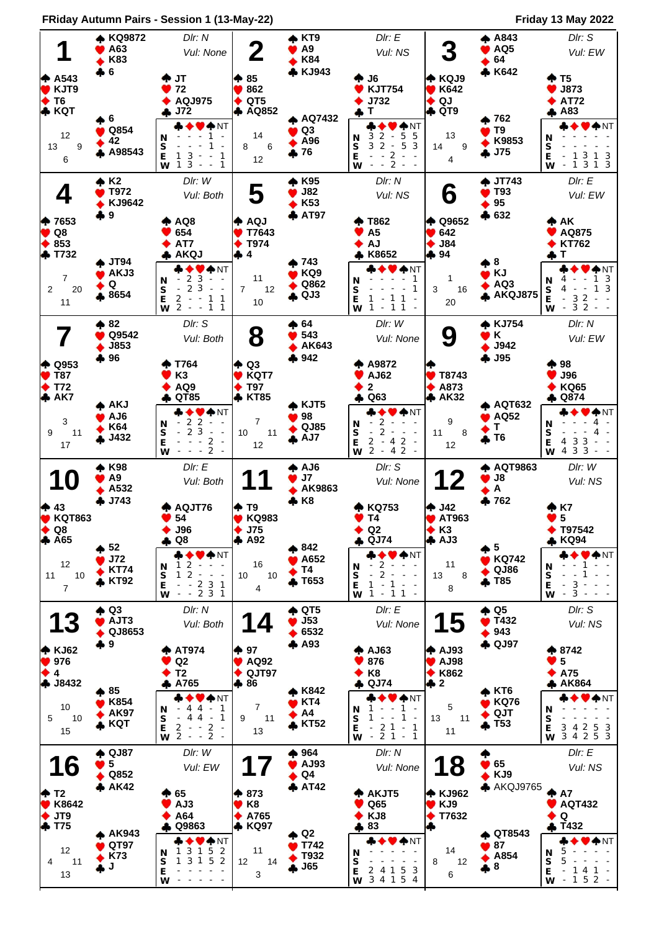**FRiday Autumn Pairs - Session 1 (13-May-22) Friday 13 May 2022**